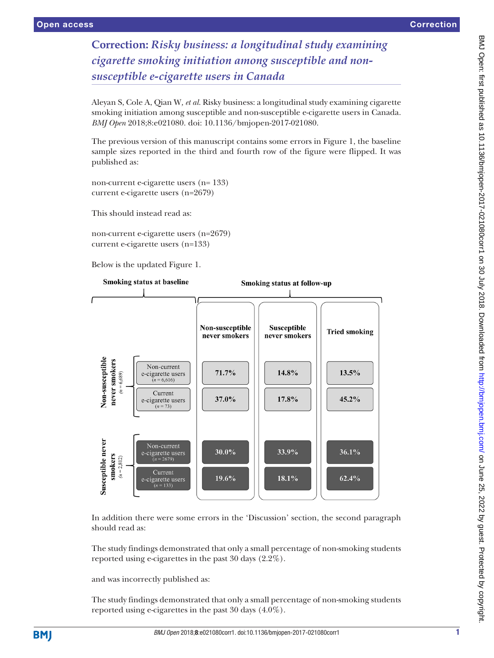## **Correction:** *Risky business: a longitudinal study examining cigarette smoking initiation among susceptible and nonsusceptible e-cigarette users in Canada*

Aleyan S, Cole A, Qian W*, et al.* Risky business: a longitudinal study examining cigarette smoking initiation among susceptible and non-susceptible e-cigarette users in Canada. *BMJ Open* 2018;8:e021080. doi: 10.1136/bmjopen-2017-021080.

The previous version of this manuscript contains some errors in Figure 1, the baseline sample sizes reported in the third and fourth row of the figure were flipped. It was published as:

non-current e-cigarette users (n= 133) current e-cigarette users (n=2679)

This should instead read as:

non-current e-cigarette users (n=2679) current e-cigarette users (n=133)

Below is the updated Figure 1.



In addition there were some errors in the 'Discussion' section, the second paragraph should read as:

The study findings demonstrated that only a small percentage of non-smoking students reported using e-cigarettes in the past 30 days (2.2%).

and was incorrectly published as:

The study findings demonstrated that only a small percentage of non-smoking students reported using e-cigarettes in the past 30 days (4.0%).